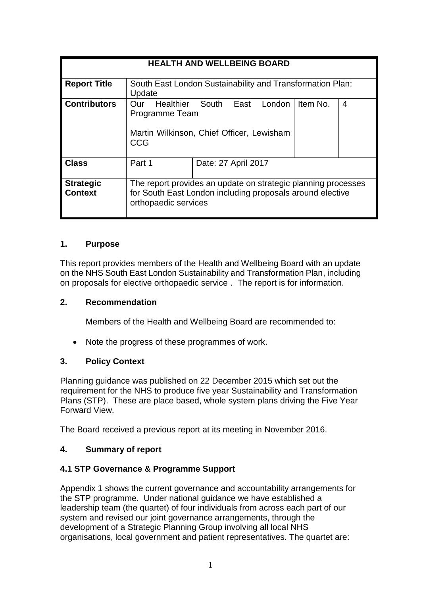| <b>HEALTH AND WELLBEING BOARD</b>  |                                                                                                                                                    |                     |  |  |
|------------------------------------|----------------------------------------------------------------------------------------------------------------------------------------------------|---------------------|--|--|
| <b>Report Title</b>                | South East London Sustainability and Transformation Plan:<br>Update                                                                                |                     |  |  |
| <b>Contributors</b>                | London<br>Healthier<br>South<br>Item No.<br>East<br>∩ur<br>4<br>Programme Team<br>Martin Wilkinson, Chief Officer, Lewisham<br>CCG                 |                     |  |  |
| <b>Class</b>                       | Part 1                                                                                                                                             | Date: 27 April 2017 |  |  |
| <b>Strategic</b><br><b>Context</b> | The report provides an update on strategic planning processes<br>for South East London including proposals around elective<br>orthopaedic services |                     |  |  |

# **1. Purpose**

This report provides members of the Health and Wellbeing Board with an update on the NHS South East London Sustainability and Transformation Plan, including on proposals for elective orthopaedic service . The report is for information.

#### **2. Recommendation**

Members of the Health and Wellbeing Board are recommended to:

• Note the progress of these programmes of work.

# **3. Policy Context**

Planning guidance was published on 22 December 2015 which set out the requirement for the NHS to produce five year Sustainability and Transformation Plans (STP). These are place based, whole system plans driving the Five Year Forward View.

The Board received a previous report at its meeting in November 2016.

# **4. Summary of report**

# **4.1 STP Governance & Programme Support**

Appendix 1 shows the current governance and accountability arrangements for the STP programme. Under national guidance we have established a leadership team (the quartet) of four individuals from across each part of our system and revised our joint governance arrangements, through the development of a Strategic Planning Group involving all local NHS organisations, local government and patient representatives. The quartet are: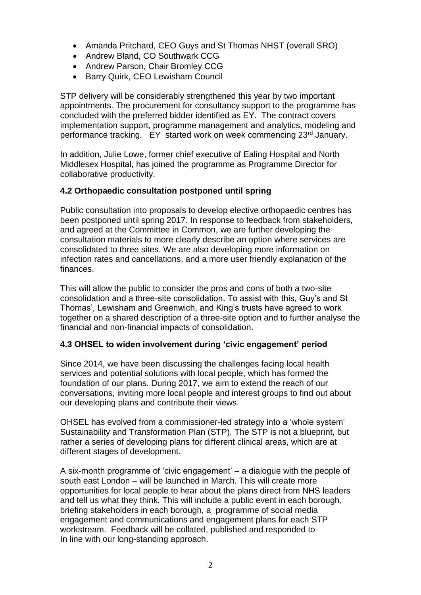- Amanda Pritchard, CEO Guys and St Thomas NHST (overall SRO)
- Andrew Bland, CO Southwark CCG
- Andrew Parson, Chair Bromley CCG
- Barry Quirk, CEO Lewisham Council

STP delivery will be considerably strengthened this year by two important appointments. The procurement for consultancy support to the programme has concluded with the preferred bidder identified as EY. The contract covers implementation support, programme management and analytics, modeling and performance tracking. EY started work on week commencing 23<sup>rd</sup> January.

In addition, Julie Lowe, former chief executive of Ealing Hospital and North Middlesex Hospital, has joined the programme as Programme Director for collaborative productivity.

# **4.2 Orthopaedic consultation postponed until spring**

Public consultation into proposals to develop elective orthopaedic centres has been postponed until spring 2017. In response to feedback from stakeholders, and agreed at the Committee in Common, we are further developing the consultation materials to more clearly describe an option where services are consolidated to three sites. We are also developing more information on infection rates and cancellations, and a more user friendly explanation of the finances.

This will allow the public to consider the pros and cons of both a two-site consolidation and a three-site consolidation. To assist with this, Guy's and St Thomas', Lewisham and Greenwich, and King's trusts have agreed to work together on a shared description of a three-site option and to further analyse the financial and non-financial impacts of consolidation.

# **4.3 OHSEL to widen involvement during 'civic engagement' period**

Since 2014, we have been discussing the challenges facing local health services and potential solutions with local people, which has formed the foundation of our plans. During 2017, we aim to extend the reach of our conversations, inviting more local people and interest groups to find out about our developing plans and contribute their views.

OHSEL has evolved from a commissioner-led strategy into a 'whole system' Sustainability and Transformation Plan (STP). The STP is not a blueprint, but rather a series of developing plans for different clinical areas, which are at different stages of development.

A six-month programme of 'civic engagement' – a dialogue with the people of south east London – will be launched in March. This will create more opportunities for local people to hear about the plans direct from NHS leaders and tell us what they think. This will include a public event in each borough, briefing stakeholders in each borough, a programme of social media engagement and communications and engagement plans for each STP workstream. Feedback will be collated, published and responded to In line with our long-standing approach.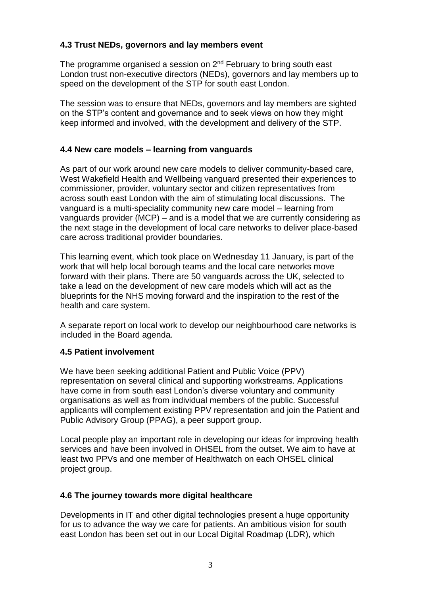# **4.3 Trust NEDs, governors and lay members event**

The programme organised a session on  $2<sup>nd</sup>$  February to bring south east London trust non-executive directors (NEDs), governors and lay members up to speed on the development of the STP for south east London.

The session was to ensure that NEDs, governors and lay members are sighted on the STP's content and governance and to seek views on how they might keep informed and involved, with the development and delivery of the STP.

# **4.4 New care models – learning from vanguards**

As part of our work around new care models to deliver community-based care, West Wakefield Health and Wellbeing vanguard presented their experiences to commissioner, provider, voluntary sector and citizen representatives from across south east London with the aim of stimulating local discussions. The vanguard is a multi-speciality community new care model – learning from vanguards provider (MCP) – and is a model that we are currently considering as the next stage in the development of local care networks to deliver place-based care across traditional provider boundaries.

This learning event, which took place on Wednesday 11 January, is part of the work that will help local borough teams and the local care networks move forward with their plans. There are 50 vanguards across the UK, selected to take a lead on the development of new care models which will act as the blueprints for the NHS moving forward and the inspiration to the rest of the health and care system.

A separate report on local work to develop our neighbourhood care networks is included in the Board agenda.

# **4.5 Patient involvement**

We have been seeking additional Patient and Public Voice (PPV) representation on several clinical and supporting workstreams. Applications have come in from south east London's diverse voluntary and community organisations as well as from individual members of the public. Successful applicants will complement existing PPV representation and join the Patient and Public Advisory Group (PPAG), a peer support group.

Local people play an important role in developing our ideas for improving health services and have been involved in OHSEL from the outset. We aim to have at least two PPVs and one member of Healthwatch on each OHSEL clinical project group.

# **4.6 The journey towards more digital healthcare**

Developments in IT and other digital technologies present a huge opportunity for us to advance the way we care for patients. An ambitious vision for south east London has been set out in our Local Digital Roadmap (LDR), which